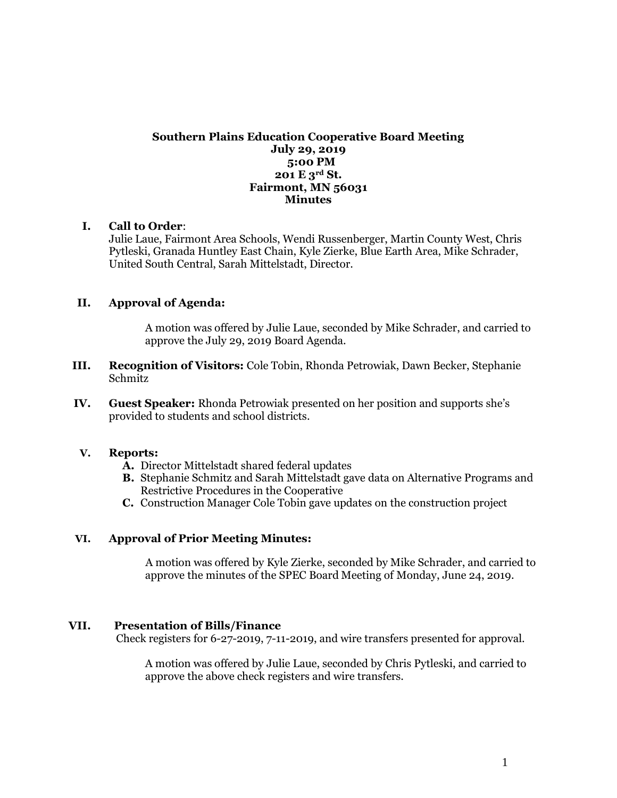#### **Southern Plains Education Cooperative Board Meeting July 29, 2019 5:00 PM 201 E 3rd St. Fairmont, MN 56031 Minutes**

#### **I. Call to Order**:

Julie Laue, Fairmont Area Schools, Wendi Russenberger, Martin County West, Chris Pytleski, Granada Huntley East Chain, Kyle Zierke, Blue Earth Area, Mike Schrader, United South Central, Sarah Mittelstadt, Director.

#### **II. Approval of Agenda:**

A motion was offered by Julie Laue, seconded by Mike Schrader, and carried to approve the July 29, 2019 Board Agenda.

- **III. Recognition of Visitors:** Cole Tobin, Rhonda Petrowiak, Dawn Becker, Stephanie Schmitz
- **IV. Guest Speaker:** Rhonda Petrowiak presented on her position and supports she's provided to students and school districts.

#### **V. Reports:**

- **A.** Director Mittelstadt shared federal updates
- **B.** Stephanie Schmitz and Sarah Mittelstadt gave data on Alternative Programs and Restrictive Procedures in the Cooperative
- **C.** Construction Manager Cole Tobin gave updates on the construction project

#### **VI. Approval of Prior Meeting Minutes:**

A motion was offered by Kyle Zierke, seconded by Mike Schrader, and carried to approve the minutes of the SPEC Board Meeting of Monday, June 24, 2019.

#### **VII. Presentation of Bills/Finance**

Check registers for 6-27-2019, 7-11-2019, and wire transfers presented for approval.

A motion was offered by Julie Laue, seconded by Chris Pytleski, and carried to approve the above check registers and wire transfers.